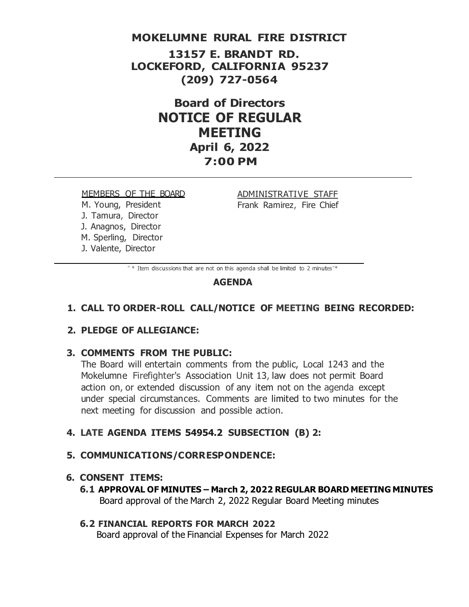### **MOKELUMNE RURAL FIRE DISTRICT**

**13157 E. BRANDT RD. LOCKEFORD, CALIFORNIA 95237 (209) 727-0564**

> **Board of Directors NOTICE OF REGULAR MEETING April 6, 2022 7:00 PM**

MEMBERS OF THE BOARD M. Young, President J. Tamura, Director J. Anagnos, Director M. Sperling, Director J. Valente, Director

ADMINISTRATIVE STAFF Frank Ramirez, Fire Chief

" \* Item discussions that are not on this agenda shall be limited to 2 minutes"\*

### **AGENDA**

### **1. CALL TO ORDER-ROLL CALL/NOTICE OF MEETING BEING RECORDED:**

### **2. PLEDGE OF ALLEGIANCE:**

### **3. COMMENTS FROM THE PUBLIC:**

The Board will entertain comments from the public, Local 1243 and the Mokelumne Firefighter's Association Unit 13, law does not permit Board action on, or extended discussion of any item not on the agenda except under special circumstances. Comments are limited to two minutes for the next meeting for discussion and possible action.

### **4. LATE AGENDA ITEMS 54954.2 SUBSECTION (B) 2:**

#### **5. COMMUNICATIONS/CORRESPONDENCE:**

### **6. CONSENT ITEMS:**

**6.1 APPROVAL OF MINUTES – March 2, 2022 REGULAR BOARD MEETING MINUTES** Board approval of the March 2, 2022 Regular Board Meeting minutes

# **6.2 FINANCIAL REPORTS FOR MARCH 2022**

Board approval of the Financial Expenses for March 2022